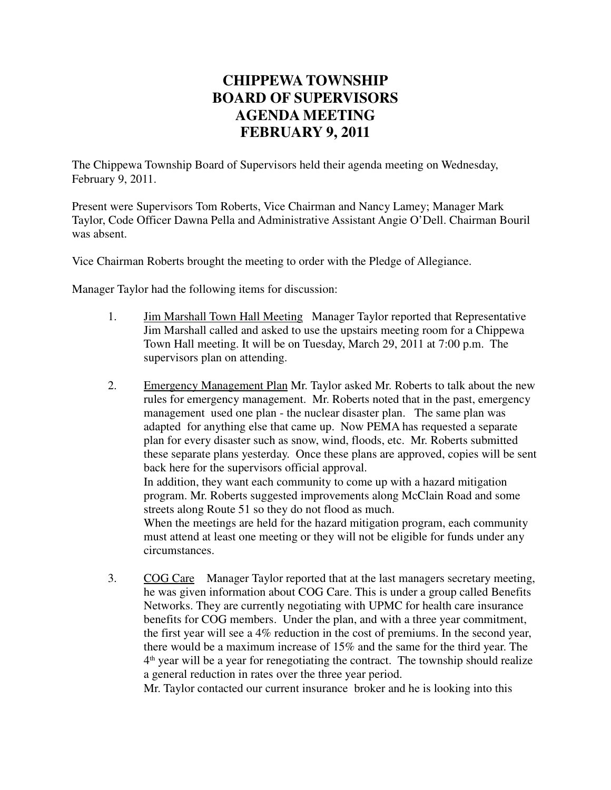## **CHIPPEWA TOWNSHIP BOARD OF SUPERVISORS AGENDA MEETING FEBRUARY 9, 2011**

The Chippewa Township Board of Supervisors held their agenda meeting on Wednesday, February 9, 2011.

Present were Supervisors Tom Roberts, Vice Chairman and Nancy Lamey; Manager Mark Taylor, Code Officer Dawna Pella and Administrative Assistant Angie O'Dell. Chairman Bouril was absent.

Vice Chairman Roberts brought the meeting to order with the Pledge of Allegiance.

Manager Taylor had the following items for discussion:

- 1. Jim Marshall Town Hall Meeting Manager Taylor reported that Representative Jim Marshall called and asked to use the upstairs meeting room for a Chippewa Town Hall meeting. It will be on Tuesday, March 29, 2011 at 7:00 p.m. The supervisors plan on attending.
- 2. Emergency Management Plan Mr. Taylor asked Mr. Roberts to talk about the new rules for emergency management. Mr. Roberts noted that in the past, emergency management used one plan - the nuclear disaster plan. The same plan was adapted for anything else that came up. Now PEMA has requested a separate plan for every disaster such as snow, wind, floods, etc. Mr. Roberts submitted these separate plans yesterday. Once these plans are approved, copies will be sent back here for the supervisors official approval.

In addition, they want each community to come up with a hazard mitigation program. Mr. Roberts suggested improvements along McClain Road and some streets along Route 51 so they do not flood as much.

When the meetings are held for the hazard mitigation program, each community must attend at least one meeting or they will not be eligible for funds under any circumstances.

3. COG Care Manager Taylor reported that at the last managers secretary meeting, he was given information about COG Care. This is under a group called Benefits Networks. They are currently negotiating with UPMC for health care insurance benefits for COG members. Under the plan, and with a three year commitment, the first year will see a 4% reduction in the cost of premiums. In the second year, there would be a maximum increase of 15% and the same for the third year. The 4 th year will be a year for renegotiating the contract. The township should realize a general reduction in rates over the three year period.

Mr. Taylor contacted our current insurance broker and he is looking into this